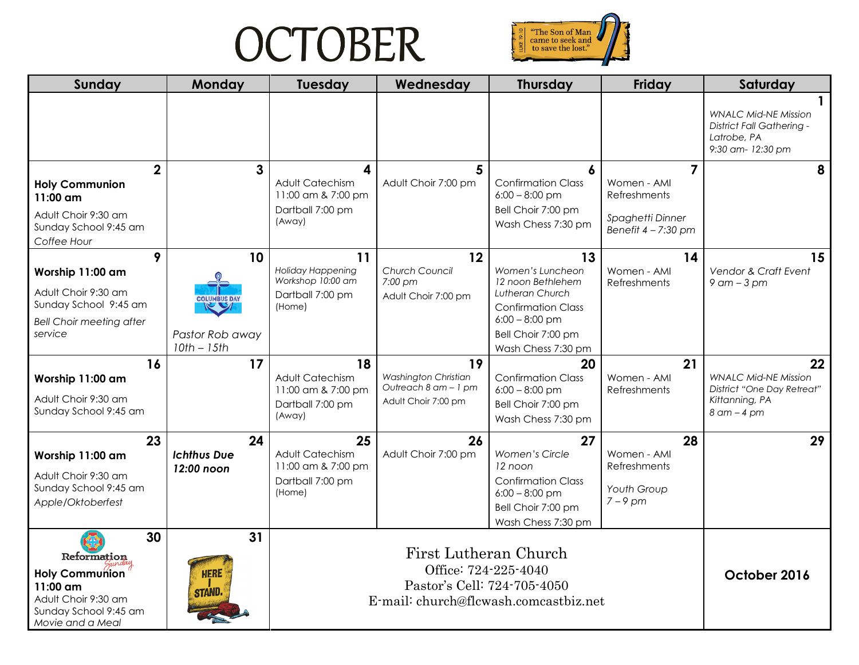## **OCTOBER**



| Sunday                                                                                                                     | Monday                                                        | <b>Tuesday</b>                                                                    | Wednesday                                                                    | <b>Thursday</b>                                                                                                                                             | Friday                                                                                     | Saturday                                                                                         |
|----------------------------------------------------------------------------------------------------------------------------|---------------------------------------------------------------|-----------------------------------------------------------------------------------|------------------------------------------------------------------------------|-------------------------------------------------------------------------------------------------------------------------------------------------------------|--------------------------------------------------------------------------------------------|--------------------------------------------------------------------------------------------------|
|                                                                                                                            |                                                               |                                                                                   |                                                                              |                                                                                                                                                             |                                                                                            | <b>WNALC Mid-NE Mission</b><br>District Fall Gathering -<br>Latrobe, PA<br>9:30 am-12:30 pm      |
| $\overline{2}$<br><b>Holy Communion</b><br>11:00 am<br>Adult Choir 9:30 am<br>Sunday School 9:45 am<br>Coffee Hour         | 3                                                             | 4<br><b>Adult Catechism</b><br>11:00 am & 7:00 pm<br>Dartball 7:00 pm<br>(Away)   | 5<br>Adult Choir 7:00 pm                                                     | <b>Confirmation Class</b><br>$6:00 - 8:00$ pm<br>Bell Choir 7:00 pm<br>Wash Chess 7:30 pm                                                                   | $\overline{7}$<br>Women - AMI<br>Refreshments<br>Spaghetti Dinner<br>Benefit $4 - 7:30$ pm | 8                                                                                                |
| 9<br>Worship 11:00 am<br>Adult Choir 9:30 am<br>Sunday School 9:45 am<br><b>Bell Choir meeting after</b><br>service        | 10<br><b>COLUMBUS DAY</b><br>Pastor Rob away<br>$10th - 15th$ | 11<br><b>Holiday Happening</b><br>Workshop 10:00 am<br>Dartball 7:00 pm<br>(Home) | 12<br>Church Council<br>7:00 pm<br>Adult Choir 7:00 pm                       | 13<br>Women's Luncheon<br>12 noon Bethlehem<br>Lutheran Church<br><b>Confirmation Class</b><br>$6:00 - 8:00$ pm<br>Bell Choir 7:00 pm<br>Wash Chess 7:30 pm | 14<br>Women - AMI<br>Refreshments                                                          | 15<br>Vendor & Craft Event<br>$9$ am $-3$ pm                                                     |
| 16<br>Worship 11:00 am<br>Adult Choir 9:30 am<br>Sunday School 9:45 am                                                     | 17                                                            | 18<br>Adult Catechism<br>11:00 am & 7:00 pm<br>Dartball 7:00 pm<br>(Away)         | 19<br>Washington Christian<br>Outreach 8 am - 1 pm<br>Adult Choir 7:00 pm    | 20<br><b>Confirmation Class</b><br>$6:00 - 8:00$ pm<br>Bell Choir 7:00 pm<br>Wash Chess 7:30 pm                                                             | 21<br>Women - AMI<br>Refreshments                                                          | 22<br><b>WNALC Mid-NE Mission</b><br>District "One Day Retreat"<br>Kittanning, PA<br>8 am - 4 pm |
| 23<br>Worship 11:00 am<br>Adult Choir 9:30 am<br>Sunday School 9:45 am<br>Apple/Oktoberfest                                | 24<br><b>Ichthus Due</b><br>12:00 noon                        | 25<br>Adult Catechism<br>11:00 am & 7:00 pm<br>Dartball 7:00 pm<br>(Home)         | 26<br>Adult Choir 7:00 pm                                                    | 27<br>Women's Circle<br>12 noon<br><b>Confirmation Class</b><br>$6:00 - 8:00$ pm<br>Bell Choir 7:00 pm<br>Wash Chess 7:30 pm                                | 28<br>Women - AMI<br>Refreshments<br>Youth Group<br>$7 - 9$ pm                             | 29                                                                                               |
| 30<br>Reformation<br><b>Holy Communion</b><br>11:00 am<br>Adult Choir 9:30 am<br>Sunday School 9:45 am<br>Movie and a Meal | 31<br><b>HERE</b><br><b>STAND.</b>                            |                                                                                   | First Lutheran Church<br>Office: 724-225-4040<br>Pastor's Cell: 724-705-4050 | E-mail: church@flcwash.comcastbiz.net                                                                                                                       |                                                                                            | October 2016                                                                                     |